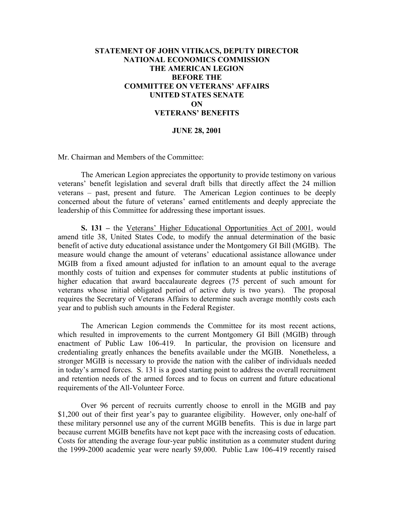## **STATEMENT OF JOHN VITIKACS, DEPUTY DIRECTOR NATIONAL ECONOMICS COMMISSION THE AMERICAN LEGION BEFORE THE COMMITTEE ON VETERANS' AFFAIRS UNITED STATES SENATE ON VETERANS' BENEFITS**

## **JUNE 28, 2001**

Mr. Chairman and Members of the Committee:

The American Legion appreciates the opportunity to provide testimony on various veterans' benefit legislation and several draft bills that directly affect the 24 million veterans – past, present and future. The American Legion continues to be deeply concerned about the future of veterans' earned entitlements and deeply appreciate the leadership of this Committee for addressing these important issues.

**S. 131 –** the Veterans' Higher Educational Opportunities Act of 2001, would amend title 38, United States Code, to modify the annual determination of the basic benefit of active duty educational assistance under the Montgomery GI Bill (MGIB). The measure would change the amount of veterans' educational assistance allowance under MGIB from a fixed amount adjusted for inflation to an amount equal to the average monthly costs of tuition and expenses for commuter students at public institutions of higher education that award baccalaureate degrees (75 percent of such amount for veterans whose initial obligated period of active duty is two years). The proposal requires the Secretary of Veterans Affairs to determine such average monthly costs each year and to publish such amounts in the Federal Register.

The American Legion commends the Committee for its most recent actions, which resulted in improvements to the current Montgomery GI Bill (MGIB) through enactment of Public Law 106-419. In particular, the provision on licensure and credentialing greatly enhances the benefits available under the MGIB. Nonetheless, a stronger MGIB is necessary to provide the nation with the caliber of individuals needed in today's armed forces. S. 131 is a good starting point to address the overall recruitment and retention needs of the armed forces and to focus on current and future educational requirements of the All-Volunteer Force.

Over 96 percent of recruits currently choose to enroll in the MGIB and pay \$1,200 out of their first year's pay to guarantee eligibility. However, only one-half of these military personnel use any of the current MGIB benefits. This is due in large part because current MGIB benefits have not kept pace with the increasing costs of education. Costs for attending the average four-year public institution as a commuter student during the 1999-2000 academic year were nearly \$9,000. Public Law 106-419 recently raised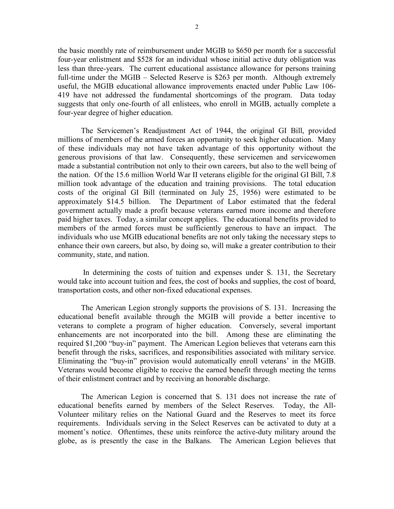the basic monthly rate of reimbursement under MGIB to \$650 per month for a successful four-year enlistment and \$528 for an individual whose initial active duty obligation was less than three-years. The current educational assistance allowance for persons training full-time under the MGIB – Selected Reserve is \$263 per month. Although extremely useful, the MGIB educational allowance improvements enacted under Public Law 106- 419 have not addressed the fundamental shortcomings of the program. Data today suggests that only one-fourth of all enlistees, who enroll in MGIB, actually complete a four-year degree of higher education.

The Servicemen's Readjustment Act of 1944, the original GI Bill, provided millions of members of the armed forces an opportunity to seek higher education. Many of these individuals may not have taken advantage of this opportunity without the generous provisions of that law. Consequently, these servicemen and servicewomen made a substantial contribution not only to their own careers, but also to the well being of the nation. Of the 15.6 million World War II veterans eligible for the original GI Bill, 7.8 million took advantage of the education and training provisions. The total education costs of the original GI Bill (terminated on July 25, 1956) were estimated to be approximately \$14.5 billion. The Department of Labor estimated that the federal government actually made a profit because veterans earned more income and therefore paid higher taxes. Today, a similar concept applies. The educational benefits provided to members of the armed forces must be sufficiently generous to have an impact. The individuals who use MGIB educational benefits are not only taking the necessary steps to enhance their own careers, but also, by doing so, will make a greater contribution to their community, state, and nation.

In determining the costs of tuition and expenses under S. 131, the Secretary would take into account tuition and fees, the cost of books and supplies, the cost of board, transportation costs, and other non-fixed educational expenses.

The American Legion strongly supports the provisions of S. 131. Increasing the educational benefit available through the MGIB will provide a better incentive to veterans to complete a program of higher education. Conversely, several important enhancements are not incorporated into the bill. Among these are eliminating the required \$1,200 "buy-in" payment. The American Legion believes that veterans earn this benefit through the risks, sacrifices, and responsibilities associated with military service. Eliminating the "buy-in" provision would automatically enroll veterans' in the MGIB. Veterans would become eligible to receive the earned benefit through meeting the terms of their enlistment contract and by receiving an honorable discharge.

The American Legion is concerned that S. 131 does not increase the rate of educational benefits earned by members of the Select Reserves. Today, the All-Volunteer military relies on the National Guard and the Reserves to meet its force requirements. Individuals serving in the Select Reserves can be activated to duty at a moment's notice. Oftentimes, these units reinforce the active-duty military around the globe, as is presently the case in the Balkans. The American Legion believes that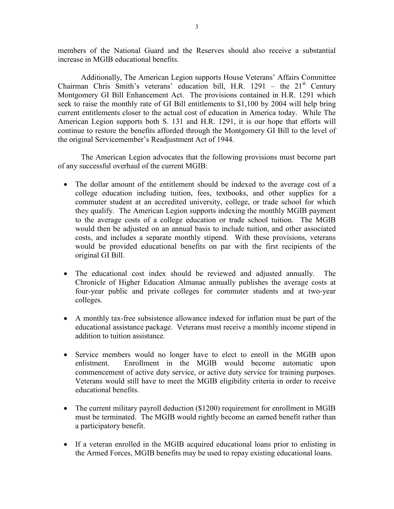members of the National Guard and the Reserves should also receive a substantial increase in MGIB educational benefits.

Additionally, The American Legion supports House Veterans' Affairs Committee Chairman Chris Smith's veterans' education bill, H.R. 1291 – the  $21<sup>st</sup>$  Century Montgomery GI Bill Enhancement Act. The provisions contained in H.R. 1291 which seek to raise the monthly rate of GI Bill entitlements to \$1,100 by 2004 will help bring current entitlements closer to the actual cost of education in America today. While The American Legion supports both S. 131 and H.R. 1291, it is our hope that efforts will continue to restore the benefits afforded through the Montgomery GI Bill to the level of the original Servicemember's Readjustment Act of 1944.

The American Legion advocates that the following provisions must become part of any successful overhaul of the current MGIB:

- The dollar amount of the entitlement should be indexed to the average cost of a college education including tuition, fees, textbooks, and other supplies for a commuter student at an accredited university, college, or trade school for which they qualify. The American Legion supports indexing the monthly MGIB payment to the average costs of a college education or trade school tuition. The MGIB would then be adjusted on an annual basis to include tuition, and other associated costs, and includes a separate monthly stipend. With these provisions, veterans would be provided educational benefits on par with the first recipients of the original GI Bill.
- The educational cost index should be reviewed and adjusted annually. The Chronicle of Higher Education Almanac annually publishes the average costs at four-year public and private colleges for commuter students and at two-year colleges.
- A monthly tax-free subsistence allowance indexed for inflation must be part of the educational assistance package. Veterans must receive a monthly income stipend in addition to tuition assistance.
- Service members would no longer have to elect to enroll in the MGIB upon enlistment. Enrollment in the MGIB would become automatic upon commencement of active duty service, or active duty service for training purposes. Veterans would still have to meet the MGIB eligibility criteria in order to receive educational benefits.
- The current military payroll deduction (\$1200) requirement for enrollment in MGIB must be terminated. The MGIB would rightly become an earned benefit rather than a participatory benefit.
- If a veteran enrolled in the MGIB acquired educational loans prior to enlisting in the Armed Forces, MGIB benefits may be used to repay existing educational loans.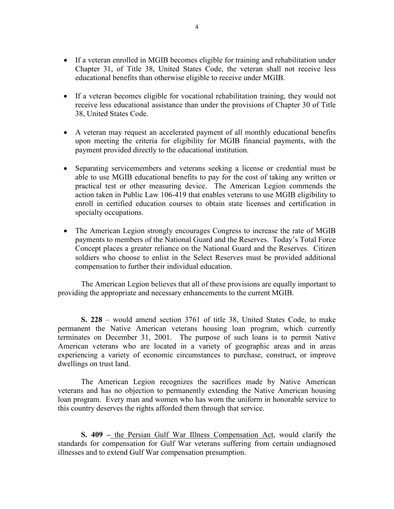- If a veteran enrolled in MGIB becomes eligible for training and rehabilitation under Chapter 31, of Title 38, United States Code, the veteran shall not receive less educational benefits than otherwise eligible to receive under MGIB.
- If a veteran becomes eligible for vocational rehabilitation training, they would not receive less educational assistance than under the provisions of Chapter 30 of Title 38, United States Code.
- A veteran may request an accelerated payment of all monthly educational benefits upon meeting the criteria for eligibility for MGIB financial payments, with the payment provided directly to the educational institution.
- Separating servicemembers and veterans seeking a license or credential must be able to use MGIB educational benefits to pay for the cost of taking any written or practical test or other measuring device. The American Legion commends the action taken in Public Law 106-419 that enables veterans to use MGIB eligibility to enroll in certified education courses to obtain state licenses and certification in specialty occupations.
- The American Legion strongly encourages Congress to increase the rate of MGIB payments to members of the National Guard and the Reserves. Today's Total Force Concept places a greater reliance on the National Guard and the Reserves. Citizen soldiers who choose to enlist in the Select Reserves must be provided additional compensation to further their individual education.

The American Legion believes that all of these provisions are equally important to providing the appropriate and necessary enhancements to the current MGIB.

**S. 228** – would amend section 3761 of title 38, United States Code, to make permanent the Native American veterans housing loan program, which currently terminates on December 31, 2001. The purpose of such loans is to permit Native American veterans who are located in a variety of geographic areas and in areas experiencing a variety of economic circumstances to purchase, construct, or improve dwellings on trust land.

The American Legion recognizes the sacrifices made by Native American veterans and has no objection to permanently extending the Native American housing loan program. Every man and women who has worn the uniform in honorable service to this country deserves the rights afforded them through that service.

**S. 409 –** the Persian Gulf War Illness Compensation Act, would clarify the standards for compensation for Gulf War veterans suffering from certain undiagnosed illnesses and to extend Gulf War compensation presumption.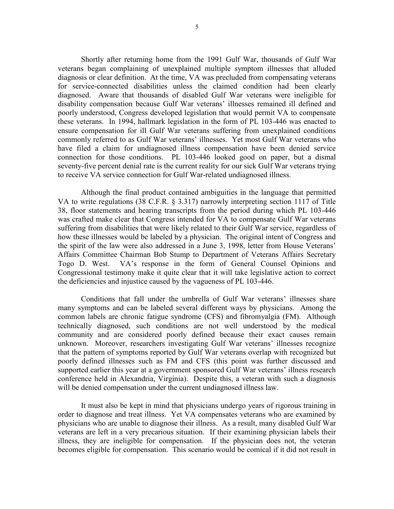Shortly after returning home from the 1991 Gulf War, thousands of Gulf War veterans began complaining of unexplained multiple symptom illnesses that alluded diagnosis or clear definition. At the time, VA was precluded from compensating veterans for service-connected disabilities unless the claimed condition had been clearly diagnosed. Aware that thousands of disabled Gulf War veterans were ineligible for disability compensation because Gulf War veterans' illnesses remained ill defined and poorly understood, Congress developed legislation that would permit VA to compensate these veterans. In 1994, hallmark legislation in the form of PL 103-446 was enacted to ensure compensation for ill Gulf War veterans suffering from unexplained conditions commonly referred to as Gulf War veterans' illnesses. Yet most Gulf War veterans who have filed a claim for undiagnosed illness compensation have been denied service connection for those conditions. PL 103-446 looked good on paper, but a dismal seventy-five percent denial rate is the current reality for our sick Gulf War veterans trying to receive VA service connection for Gulf War-related undiagnosed illness.

Although the final product contained ambiguities in the language that permitted VA to write regulations (38 C.F.R. § 3.317) narrowly interpreting section 1117 of Title 38, floor statements and hearing transcripts from the period during which PL 103-446 was crafted make clear that Congress intended for VA to compensate Gulf War veterans suffering from disabilities that were likely related to their Gulf War service, regardless of how these illnesses would be labeled by a physician. The original intent of Congress and the spirit of the law were also addressed in a June 3, 1998, letter from House Veterans' Affairs Committee Chairman Bob Stump to Department of Veterans Affairs Secretary Togo D. West. VA's response in the form of General Counsel Opinions and Congressional testimony make it quite clear that it will take legislative action to correct the deficiencies and injustice caused by the vagueness of PL 103-446.

Conditions that fall under the umbrella of Gulf War veterans' illnesses share many symptoms and can be labeled several different ways by physicians. Among the common labels are chronic fatigue syndrome (CFS) and fibromyalgia (FM). Although technically diagnosed, such conditions are not well understood by the medical community and are considered poorly defined because their exact causes remain unknown. Moreover, researchers investigating Gulf War veterans' illnesses recognize that the pattern of symptoms reported by Gulf War veterans overlap with recognized but poorly defined illnesses such as FM and CFS (this point was further discussed and supported earlier this year at a government sponsored Gulf War veterans' illness research conference held in Alexandria, Virginia). Despite this, a veteran with such a diagnosis will be denied compensation under the current undiagnosed illness law.

It must also be kept in mind that physicians undergo years of rigorous training in order to diagnose and treat illness. Yet VA compensates veterans who are examined by physicians who are unable to diagnose their illness. As a result, many disabled Gulf War veterans are left in a very precarious situation. If their examining physician labels their illness, they are ineligible for compensation. If the physician does not, the veteran becomes eligible for compensation. This scenario would be comical if it did not result in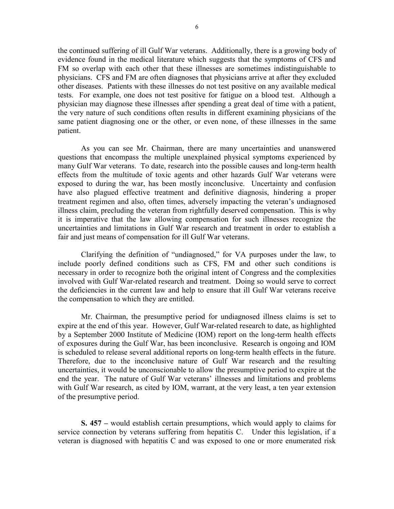the continued suffering of ill Gulf War veterans. Additionally, there is a growing body of evidence found in the medical literature which suggests that the symptoms of CFS and FM so overlap with each other that these illnesses are sometimes indistinguishable to physicians. CFS and FM are often diagnoses that physicians arrive at after they excluded other diseases. Patients with these illnesses do not test positive on any available medical tests. For example, one does not test positive for fatigue on a blood test. Although a physician may diagnose these illnesses after spending a great deal of time with a patient, the very nature of such conditions often results in different examining physicians of the same patient diagnosing one or the other, or even none, of these illnesses in the same patient.

As you can see Mr. Chairman, there are many uncertainties and unanswered questions that encompass the multiple unexplained physical symptoms experienced by many Gulf War veterans. To date, research into the possible causes and long-term health effects from the multitude of toxic agents and other hazards Gulf War veterans were exposed to during the war, has been mostly inconclusive. Uncertainty and confusion have also plagued effective treatment and definitive diagnosis, hindering a proper treatment regimen and also, often times, adversely impacting the veteran's undiagnosed illness claim, precluding the veteran from rightfully deserved compensation. This is why it is imperative that the law allowing compensation for such illnesses recognize the uncertainties and limitations in Gulf War research and treatment in order to establish a fair and just means of compensation for ill Gulf War veterans.

Clarifying the definition of "undiagnosed," for VA purposes under the law, to include poorly defined conditions such as CFS, FM and other such conditions is necessary in order to recognize both the original intent of Congress and the complexities involved with Gulf War-related research and treatment. Doing so would serve to correct the deficiencies in the current law and help to ensure that ill Gulf War veterans receive the compensation to which they are entitled.

Mr. Chairman, the presumptive period for undiagnosed illness claims is set to expire at the end of this year. However, Gulf War-related research to date, as highlighted by a September 2000 Institute of Medicine (IOM) report on the long-term health effects of exposures during the Gulf War, has been inconclusive. Research is ongoing and IOM is scheduled to release several additional reports on long-term health effects in the future. Therefore, due to the inconclusive nature of Gulf War research and the resulting uncertainties, it would be unconscionable to allow the presumptive period to expire at the end the year. The nature of Gulf War veterans' illnesses and limitations and problems with Gulf War research, as cited by IOM, warrant, at the very least, a ten year extension of the presumptive period.

**S. 457 –** would establish certain presumptions, which would apply to claims for service connection by veterans suffering from hepatitis C. Under this legislation, if a veteran is diagnosed with hepatitis C and was exposed to one or more enumerated risk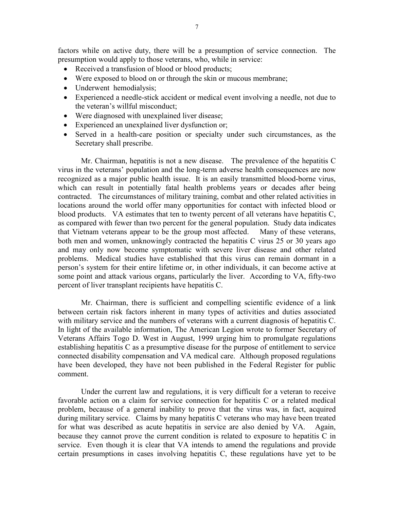factors while on active duty, there will be a presumption of service connection. The presumption would apply to those veterans, who, while in service:

- Received a transfusion of blood or blood products;
- Were exposed to blood on or through the skin or mucous membrane;
- Underwent hemodialysis;
- Experienced a needle-stick accident or medical event involving a needle, not due to the veteran's willful misconduct;
- Were diagnosed with unexplained liver disease;
- Experienced an unexplained liver dysfunction or;
- Served in a health-care position or specialty under such circumstances, as the Secretary shall prescribe.

Mr. Chairman, hepatitis is not a new disease. The prevalence of the hepatitis C virus in the veterans' population and the long-term adverse health consequences are now recognized as a major public health issue. It is an easily transmitted blood-borne virus, which can result in potentially fatal health problems years or decades after being contracted. The circumstances of military training, combat and other related activities in locations around the world offer many opportunities for contact with infected blood or blood products. VA estimates that ten to twenty percent of all veterans have hepatitis C, as compared with fewer than two percent for the general population. Study data indicates that Vietnam veterans appear to be the group most affected. Many of these veterans, both men and women, unknowingly contracted the hepatitis C virus 25 or 30 years ago and may only now become symptomatic with severe liver disease and other related problems. Medical studies have established that this virus can remain dormant in a person's system for their entire lifetime or, in other individuals, it can become active at some point and attack various organs, particularly the liver. According to VA, fifty-two percent of liver transplant recipients have hepatitis C.

Mr. Chairman, there is sufficient and compelling scientific evidence of a link between certain risk factors inherent in many types of activities and duties associated with military service and the numbers of veterans with a current diagnosis of hepatitis C. In light of the available information, The American Legion wrote to former Secretary of Veterans Affairs Togo D. West in August, 1999 urging him to promulgate regulations establishing hepatitis C as a presumptive disease for the purpose of entitlement to service connected disability compensation and VA medical care. Although proposed regulations have been developed, they have not been published in the Federal Register for public comment.

Under the current law and regulations, it is very difficult for a veteran to receive favorable action on a claim for service connection for hepatitis C or a related medical problem, because of a general inability to prove that the virus was, in fact, acquired during military service. Claims by many hepatitis C veterans who may have been treated for what was described as acute hepatitis in service are also denied by VA. Again, because they cannot prove the current condition is related to exposure to hepatitis C in service. Even though it is clear that VA intends to amend the regulations and provide certain presumptions in cases involving hepatitis C, these regulations have yet to be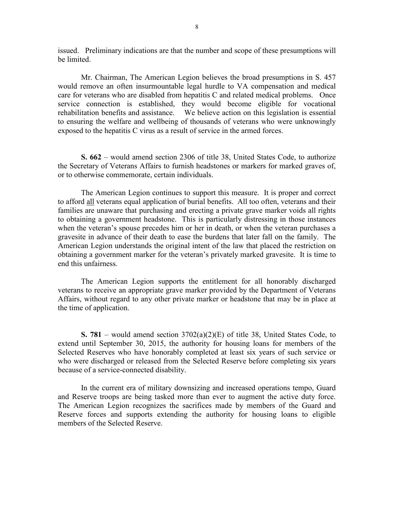issued. Preliminary indications are that the number and scope of these presumptions will be limited.

Mr. Chairman, The American Legion believes the broad presumptions in S. 457 would remove an often insurmountable legal hurdle to VA compensation and medical care for veterans who are disabled from hepatitis C and related medical problems. Once service connection is established, they would become eligible for vocational rehabilitation benefits and assistance. We believe action on this legislation is essential to ensuring the welfare and wellbeing of thousands of veterans who were unknowingly exposed to the hepatitis C virus as a result of service in the armed forces.

**S. 662** – would amend section 2306 of title 38, United States Code, to authorize the Secretary of Veterans Affairs to furnish headstones or markers for marked graves of, or to otherwise commemorate, certain individuals.

The American Legion continues to support this measure. It is proper and correct to afford all veterans equal application of burial benefits. All too often, veterans and their families are unaware that purchasing and erecting a private grave marker voids all rights to obtaining a government headstone. This is particularly distressing in those instances when the veteran's spouse precedes him or her in death, or when the veteran purchases a gravesite in advance of their death to ease the burdens that later fall on the family. The American Legion understands the original intent of the law that placed the restriction on obtaining a government marker for the veteran's privately marked gravesite. It is time to end this unfairness.

The American Legion supports the entitlement for all honorably discharged veterans to receive an appropriate grave marker provided by the Department of Veterans Affairs, without regard to any other private marker or headstone that may be in place at the time of application.

**S. 781** – would amend section 3702(a)(2)(E) of title 38, United States Code, to extend until September 30, 2015, the authority for housing loans for members of the Selected Reserves who have honorably completed at least six years of such service or who were discharged or released from the Selected Reserve before completing six years because of a service-connected disability.

In the current era of military downsizing and increased operations tempo, Guard and Reserve troops are being tasked more than ever to augment the active duty force. The American Legion recognizes the sacrifices made by members of the Guard and Reserve forces and supports extending the authority for housing loans to eligible members of the Selected Reserve.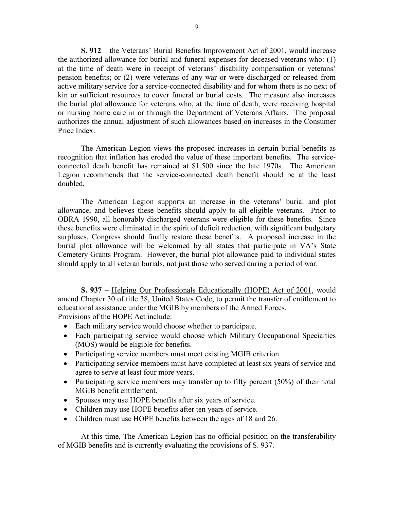**S. 912** – the Veterans' Burial Benefits Improvement Act of 2001, would increase the authorized allowance for burial and funeral expenses for deceased veterans who: (1) at the time of death were in receipt of veterans' disability compensation or veterans' pension benefits; or (2) were veterans of any war or were discharged or released from active military service for a service-connected disability and for whom there is no next of kin or sufficient resources to cover funeral or burial costs. The measure also increases the burial plot allowance for veterans who, at the time of death, were receiving hospital or nursing home care in or through the Department of Veterans Affairs. The proposal authorizes the annual adjustment of such allowances based on increases in the Consumer Price Index.

The American Legion views the proposed increases in certain burial benefits as recognition that inflation has eroded the value of these important benefits. The serviceconnected death benefit has remained at \$1,500 since the late 1970s. The American Legion recommends that the service-connected death benefit should be at the least doubled.

The American Legion supports an increase in the veterans' burial and plot allowance, and believes these benefits should apply to all eligible veterans. Prior to OBRA 1990, all honorably discharged veterans were eligible for these benefits. Since these benefits were eliminated in the spirit of deficit reduction, with significant budgetary surpluses, Congress should finally restore these benefits. A proposed increase in the burial plot allowance will be welcomed by all states that participate in VA's State Cemetery Grants Program. However, the burial plot allowance paid to individual states should apply to all veteran burials, not just those who served during a period of war.

**S. 937** – Helping Our Professionals Educationally (HOPE) Act of 2001, would amend Chapter 30 of title 38, United States Code, to permit the transfer of entitlement to educational assistance under the MGIB by members of the Armed Forces. Provisions of the HOPE Act include:

- Each military service would choose whether to participate.
- Each participating service would choose which Military Occupational Specialties (MOS) would be eligible for benefits.
- Participating service members must meet existing MGIB criterion.
- Participating service members must have completed at least six years of service and agree to serve at least four more years.
- Participating service members may transfer up to fifty percent (50%) of their total MGIB benefit entitlement.
- Spouses may use HOPE benefits after six years of service.
- Children may use HOPE benefits after ten years of service.
- Children must use HOPE benefits between the ages of 18 and 26.

At this time, The American Legion has no official position on the transferability of MGIB benefits and is currently evaluating the provisions of S. 937.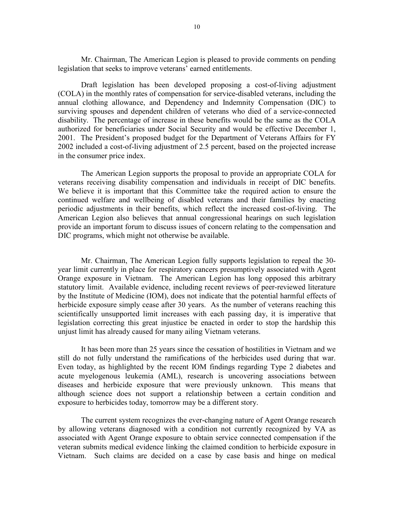Mr. Chairman, The American Legion is pleased to provide comments on pending legislation that seeks to improve veterans' earned entitlements.

Draft legislation has been developed proposing a cost-of-living adjustment (COLA) in the monthly rates of compensation for service-disabled veterans, including the annual clothing allowance, and Dependency and Indemnity Compensation (DIC) to surviving spouses and dependent children of veterans who died of a service-connected disability. The percentage of increase in these benefits would be the same as the COLA authorized for beneficiaries under Social Security and would be effective December 1, 2001. The President's proposed budget for the Department of Veterans Affairs for FY 2002 included a cost-of-living adjustment of 2.5 percent, based on the projected increase in the consumer price index.

The American Legion supports the proposal to provide an appropriate COLA for veterans receiving disability compensation and individuals in receipt of DIC benefits. We believe it is important that this Committee take the required action to ensure the continued welfare and wellbeing of disabled veterans and their families by enacting periodic adjustments in their benefits, which reflect the increased cost-of-living. The American Legion also believes that annual congressional hearings on such legislation provide an important forum to discuss issues of concern relating to the compensation and DIC programs, which might not otherwise be available.

Mr. Chairman, The American Legion fully supports legislation to repeal the 30 year limit currently in place for respiratory cancers presumptively associated with Agent Orange exposure in Vietnam. The American Legion has long opposed this arbitrary statutory limit. Available evidence, including recent reviews of peer-reviewed literature by the Institute of Medicine (IOM), does not indicate that the potential harmful effects of herbicide exposure simply cease after 30 years. As the number of veterans reaching this scientifically unsupported limit increases with each passing day, it is imperative that legislation correcting this great injustice be enacted in order to stop the hardship this unjust limit has already caused for many ailing Vietnam veterans.

It has been more than 25 years since the cessation of hostilities in Vietnam and we still do not fully understand the ramifications of the herbicides used during that war. Even today, as highlighted by the recent IOM findings regarding Type 2 diabetes and acute myelogenous leukemia (AML), research is uncovering associations between diseases and herbicide exposure that were previously unknown. This means that although science does not support a relationship between a certain condition and exposure to herbicides today, tomorrow may be a different story.

The current system recognizes the ever-changing nature of Agent Orange research by allowing veterans diagnosed with a condition not currently recognized by VA as associated with Agent Orange exposure to obtain service connected compensation if the veteran submits medical evidence linking the claimed condition to herbicide exposure in Vietnam. Such claims are decided on a case by case basis and hinge on medical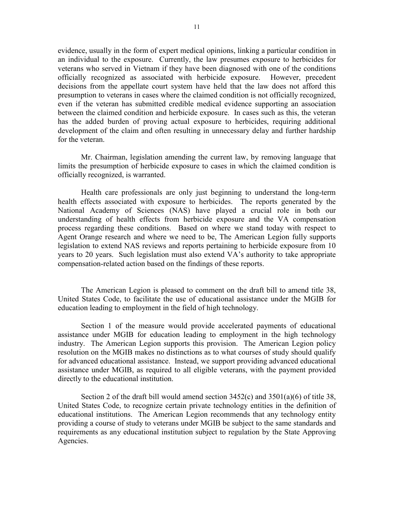evidence, usually in the form of expert medical opinions, linking a particular condition in an individual to the exposure. Currently, the law presumes exposure to herbicides for veterans who served in Vietnam if they have been diagnosed with one of the conditions officially recognized as associated with herbicide exposure. However, precedent decisions from the appellate court system have held that the law does not afford this presumption to veterans in cases where the claimed condition is not officially recognized, even if the veteran has submitted credible medical evidence supporting an association between the claimed condition and herbicide exposure. In cases such as this, the veteran has the added burden of proving actual exposure to herbicides, requiring additional development of the claim and often resulting in unnecessary delay and further hardship for the veteran.

Mr. Chairman, legislation amending the current law, by removing language that limits the presumption of herbicide exposure to cases in which the claimed condition is officially recognized, is warranted.

Health care professionals are only just beginning to understand the long-term health effects associated with exposure to herbicides. The reports generated by the National Academy of Sciences (NAS) have played a crucial role in both our understanding of health effects from herbicide exposure and the VA compensation process regarding these conditions. Based on where we stand today with respect to Agent Orange research and where we need to be, The American Legion fully supports legislation to extend NAS reviews and reports pertaining to herbicide exposure from 10 years to 20 years. Such legislation must also extend VA's authority to take appropriate compensation-related action based on the findings of these reports.

The American Legion is pleased to comment on the draft bill to amend title 38, United States Code, to facilitate the use of educational assistance under the MGIB for education leading to employment in the field of high technology.

Section 1 of the measure would provide accelerated payments of educational assistance under MGIB for education leading to employment in the high technology industry. The American Legion supports this provision. The American Legion policy resolution on the MGIB makes no distinctions as to what courses of study should qualify for advanced educational assistance. Instead, we support providing advanced educational assistance under MGIB, as required to all eligible veterans, with the payment provided directly to the educational institution.

Section 2 of the draft bill would amend section  $3452(c)$  and  $3501(a)(6)$  of title 38, United States Code, to recognize certain private technology entities in the definition of educational institutions. The American Legion recommends that any technology entity providing a course of study to veterans under MGIB be subject to the same standards and requirements as any educational institution subject to regulation by the State Approving Agencies.